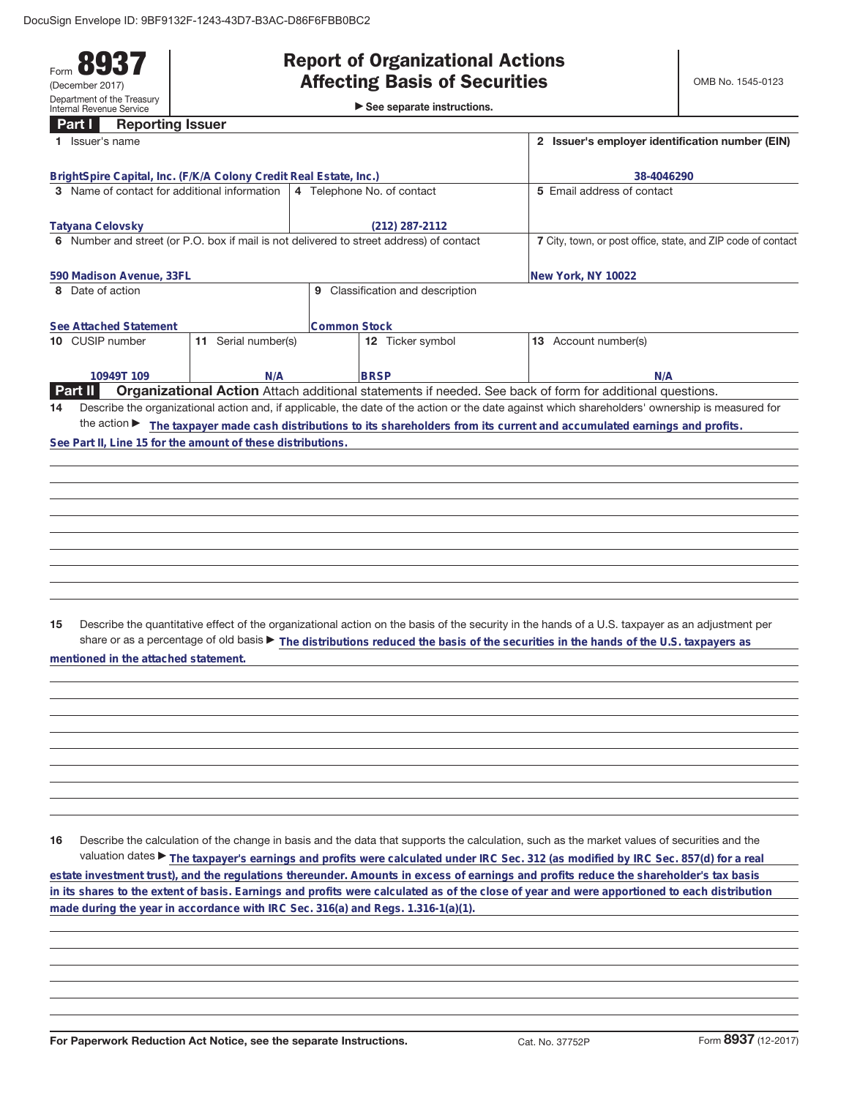## Form **8937** (December 2017) Department of the Treasury Internal Revenue Service

## **Affecting Basis of Securities**

|  | -                                           |  |  |  |  |  |  |
|--|---------------------------------------------|--|--|--|--|--|--|
|  | $\triangleright$ See separate instructions. |  |  |  |  |  |  |

| Part I         |                  | <b>Reporting Issuer</b>                      |                                                                   |                     |                                                                                         |                                                                                                                                                 |
|----------------|------------------|----------------------------------------------|-------------------------------------------------------------------|---------------------|-----------------------------------------------------------------------------------------|-------------------------------------------------------------------------------------------------------------------------------------------------|
|                | Issuer's name    |                                              |                                                                   |                     |                                                                                         | 2 Issuer's employer identification number (EIN)                                                                                                 |
|                |                  |                                              |                                                                   |                     |                                                                                         |                                                                                                                                                 |
|                |                  |                                              | BrightSpire Capital, Inc. (F/K/A Colony Credit Real Estate, Inc.) |                     |                                                                                         | 38-4046290                                                                                                                                      |
|                |                  | 3 Name of contact for additional information |                                                                   |                     | 4 Telephone No. of contact                                                              | 5 Email address of contact                                                                                                                      |
|                | Tatyana Celovsky |                                              |                                                                   |                     | $(212)$ 287-2112                                                                        |                                                                                                                                                 |
|                |                  |                                              |                                                                   |                     | 6 Number and street (or P.O. box if mail is not delivered to street address) of contact | 7 City, town, or post office, state, and ZIP code of contact                                                                                    |
|                |                  |                                              |                                                                   |                     |                                                                                         |                                                                                                                                                 |
|                |                  | 590 Madison Avenue, 33FL                     |                                                                   |                     |                                                                                         | New York, NY 10022                                                                                                                              |
|                | 8 Date of action |                                              |                                                                   |                     | 9 Classification and description                                                        |                                                                                                                                                 |
|                |                  | See Attached Statement                       |                                                                   | <b>Common Stock</b> |                                                                                         |                                                                                                                                                 |
|                |                  | 10 CUSIP number                              | 11 Serial number(s)                                               |                     | 12 Ticker symbol                                                                        | 13 Account number(s)                                                                                                                            |
|                |                  |                                              |                                                                   |                     |                                                                                         |                                                                                                                                                 |
|                |                  | 10949T 109                                   | N/A                                                               |                     | <b>BRSP</b>                                                                             | N/A                                                                                                                                             |
| <b>Part II</b> |                  |                                              |                                                                   |                     |                                                                                         | Organizational Action Attach additional statements if needed. See back of form for additional questions.                                        |
| 14             |                  |                                              |                                                                   |                     |                                                                                         | Describe the organizational action and, if applicable, the date of the action or the date against which shareholders' ownership is measured for |
|                |                  |                                              |                                                                   |                     |                                                                                         | the action The taxpayer made cash distributions to its shareholders from its current and accumulated earnings and profits.                      |
|                |                  |                                              | See Part II, Line 15 for the amount of these distributions.       |                     |                                                                                         |                                                                                                                                                 |
|                |                  |                                              |                                                                   |                     |                                                                                         |                                                                                                                                                 |
|                |                  |                                              |                                                                   |                     |                                                                                         |                                                                                                                                                 |
|                |                  |                                              |                                                                   |                     |                                                                                         |                                                                                                                                                 |
|                |                  |                                              |                                                                   |                     |                                                                                         |                                                                                                                                                 |
|                |                  |                                              |                                                                   |                     |                                                                                         |                                                                                                                                                 |
|                |                  |                                              |                                                                   |                     |                                                                                         |                                                                                                                                                 |
|                |                  |                                              |                                                                   |                     |                                                                                         |                                                                                                                                                 |
|                |                  |                                              |                                                                   |                     |                                                                                         |                                                                                                                                                 |
|                |                  |                                              |                                                                   |                     |                                                                                         |                                                                                                                                                 |
|                |                  |                                              |                                                                   |                     |                                                                                         |                                                                                                                                                 |
|                |                  |                                              |                                                                   |                     |                                                                                         |                                                                                                                                                 |
| 15             |                  |                                              |                                                                   |                     |                                                                                         | Describe the quantitative effect of the organizational action on the basis of the security in the hands of a U.S. taxpayer as an adjustment per |
|                |                  |                                              |                                                                   |                     |                                                                                         | share or as a percentage of old basis > The distributions reduced the basis of the securities in the hands of the U.S. taxpayers as             |
|                |                  | mentioned in the attached statement.         |                                                                   |                     |                                                                                         |                                                                                                                                                 |
|                |                  |                                              |                                                                   |                     |                                                                                         |                                                                                                                                                 |
|                |                  |                                              |                                                                   |                     |                                                                                         |                                                                                                                                                 |
|                |                  |                                              |                                                                   |                     |                                                                                         |                                                                                                                                                 |
|                |                  |                                              |                                                                   |                     |                                                                                         |                                                                                                                                                 |
|                |                  |                                              |                                                                   |                     |                                                                                         |                                                                                                                                                 |
|                |                  |                                              |                                                                   |                     |                                                                                         |                                                                                                                                                 |
|                |                  |                                              |                                                                   |                     |                                                                                         |                                                                                                                                                 |
|                |                  |                                              |                                                                   |                     |                                                                                         |                                                                                                                                                 |
|                |                  |                                              |                                                                   |                     |                                                                                         |                                                                                                                                                 |
|                |                  |                                              |                                                                   |                     |                                                                                         |                                                                                                                                                 |
| 16             |                  |                                              |                                                                   |                     |                                                                                         | Describe the calculation of the change in basis and the data that supports the calculation, such as the market values of securities and the     |
|                |                  |                                              |                                                                   |                     |                                                                                         |                                                                                                                                                 |
|                |                  |                                              |                                                                   |                     |                                                                                         | valuation dates ▶ The taxpayer's earnings and profits were calculated under IRC Sec. 312 (as modified by IRC Sec. 857(d) for a real             |
|                |                  |                                              |                                                                   |                     |                                                                                         | estate investment trust), and the regulations thereunder. Amounts in excess of earnings and profits reduce the shareholder's tax basis          |
|                |                  |                                              |                                                                   |                     |                                                                                         | in its shares to the extent of basis. Earnings and profits were calculated as of the close of year and were apportioned to each distribution    |
|                |                  |                                              |                                                                   |                     | made during the year in accordance with IRC Sec. 316(a) and Regs. 1.316-1(a)(1).        |                                                                                                                                                 |
|                |                  |                                              |                                                                   |                     |                                                                                         |                                                                                                                                                 |
|                |                  |                                              |                                                                   |                     |                                                                                         |                                                                                                                                                 |
|                |                  |                                              |                                                                   |                     |                                                                                         |                                                                                                                                                 |
|                |                  |                                              |                                                                   |                     |                                                                                         |                                                                                                                                                 |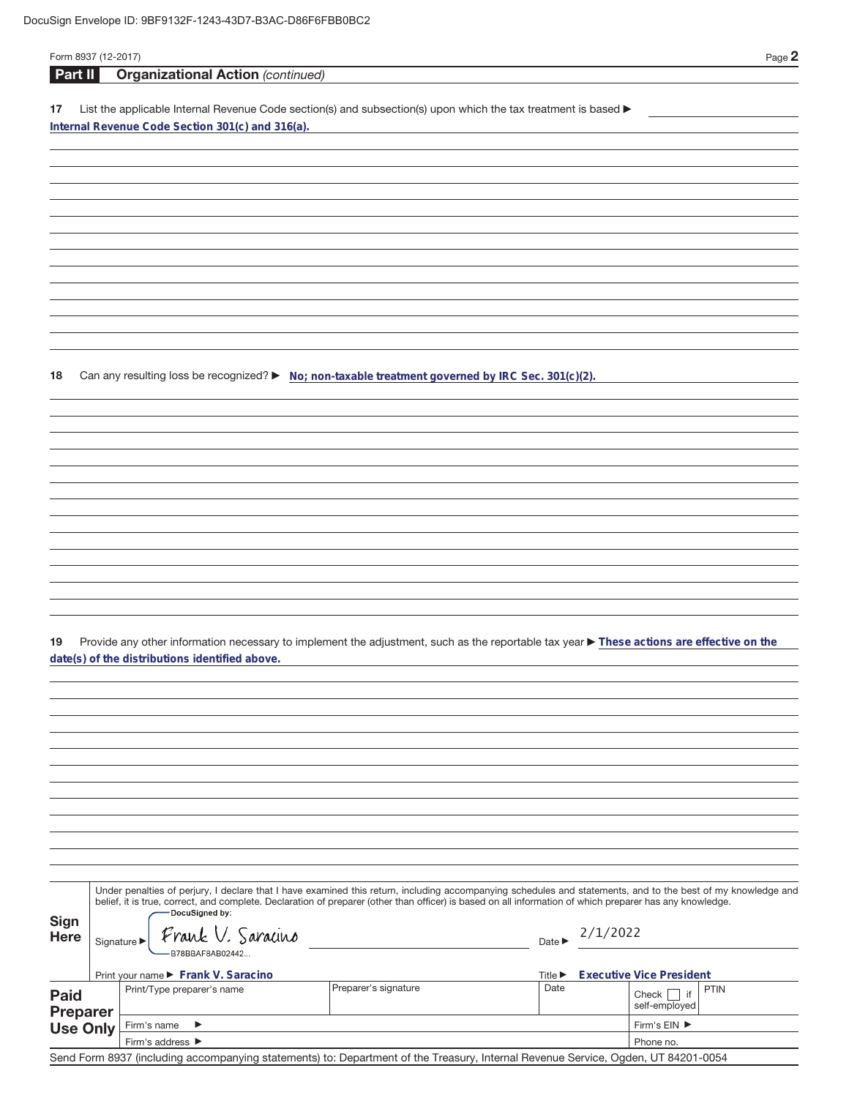| Form 8937 (12-2017) |                                 |                                                                                                                                                                                                                                                                                                                          |                      |                             |          | Page 2                          |
|---------------------|---------------------------------|--------------------------------------------------------------------------------------------------------------------------------------------------------------------------------------------------------------------------------------------------------------------------------------------------------------------------|----------------------|-----------------------------|----------|---------------------------------|
| <b>Part II</b>      |                                 | <b>Organizational Action (continued)</b>                                                                                                                                                                                                                                                                                 |                      |                             |          |                                 |
| 17                  |                                 | List the applicable Internal Revenue Code section(s) and subsection(s) upon which the tax treatment is based ><br>Internal Revenue Code Section 301(c) and 316(a).                                                                                                                                                       |                      |                             |          |                                 |
|                     |                                 |                                                                                                                                                                                                                                                                                                                          |                      |                             |          |                                 |
|                     |                                 |                                                                                                                                                                                                                                                                                                                          |                      |                             |          |                                 |
|                     |                                 |                                                                                                                                                                                                                                                                                                                          |                      |                             |          |                                 |
|                     |                                 |                                                                                                                                                                                                                                                                                                                          |                      |                             |          |                                 |
|                     |                                 |                                                                                                                                                                                                                                                                                                                          |                      |                             |          |                                 |
|                     |                                 |                                                                                                                                                                                                                                                                                                                          |                      |                             |          |                                 |
|                     |                                 |                                                                                                                                                                                                                                                                                                                          |                      |                             |          |                                 |
|                     |                                 |                                                                                                                                                                                                                                                                                                                          |                      |                             |          |                                 |
|                     |                                 |                                                                                                                                                                                                                                                                                                                          |                      |                             |          |                                 |
|                     |                                 |                                                                                                                                                                                                                                                                                                                          |                      |                             |          |                                 |
| 18                  |                                 | Can any resulting loss be recognized? ► No; non-taxable treatment governed by IRC Sec. 301(c)(2).                                                                                                                                                                                                                        |                      |                             |          |                                 |
|                     |                                 |                                                                                                                                                                                                                                                                                                                          |                      |                             |          |                                 |
|                     |                                 |                                                                                                                                                                                                                                                                                                                          |                      |                             |          |                                 |
|                     |                                 |                                                                                                                                                                                                                                                                                                                          |                      |                             |          |                                 |
|                     |                                 |                                                                                                                                                                                                                                                                                                                          |                      |                             |          |                                 |
|                     |                                 |                                                                                                                                                                                                                                                                                                                          |                      |                             |          |                                 |
|                     |                                 |                                                                                                                                                                                                                                                                                                                          |                      |                             |          |                                 |
|                     |                                 |                                                                                                                                                                                                                                                                                                                          |                      |                             |          |                                 |
|                     |                                 |                                                                                                                                                                                                                                                                                                                          |                      |                             |          |                                 |
|                     |                                 |                                                                                                                                                                                                                                                                                                                          |                      |                             |          |                                 |
|                     |                                 |                                                                                                                                                                                                                                                                                                                          |                      |                             |          |                                 |
| 19                  |                                 | Provide any other information necessary to implement the adjustment, such as the reportable tax year ▶ These actions are effective on the                                                                                                                                                                                |                      |                             |          |                                 |
|                     |                                 | date(s) of the distributions identified above.                                                                                                                                                                                                                                                                           |                      |                             |          |                                 |
|                     |                                 |                                                                                                                                                                                                                                                                                                                          |                      |                             |          |                                 |
|                     |                                 |                                                                                                                                                                                                                                                                                                                          |                      |                             |          |                                 |
|                     |                                 |                                                                                                                                                                                                                                                                                                                          |                      |                             |          |                                 |
|                     |                                 |                                                                                                                                                                                                                                                                                                                          |                      |                             |          |                                 |
|                     |                                 |                                                                                                                                                                                                                                                                                                                          |                      |                             |          |                                 |
|                     |                                 |                                                                                                                                                                                                                                                                                                                          |                      |                             |          |                                 |
|                     |                                 |                                                                                                                                                                                                                                                                                                                          |                      |                             |          |                                 |
|                     |                                 |                                                                                                                                                                                                                                                                                                                          |                      |                             |          |                                 |
|                     |                                 |                                                                                                                                                                                                                                                                                                                          |                      |                             |          |                                 |
|                     |                                 | Under penalties of perjury, I declare that I have examined this return, including accompanying schedules and statements, and to the best of my knowledge and<br>belief, it is true, correct, and complete. Declaration of preparer (other than officer) is based on all information of which preparer has any knowledge. |                      |                             |          |                                 |
| Sign                |                                 | -DocuSigned by:                                                                                                                                                                                                                                                                                                          |                      |                             |          |                                 |
| <b>Here</b>         | Signature $\blacktriangleright$ | Frank V. Saracino<br>B78BBAF8AB02442                                                                                                                                                                                                                                                                                     |                      | Date $\blacktriangleright$  | 2/1/2022 |                                 |
|                     |                                 | Print your name ▶ Frank V. Saracino                                                                                                                                                                                                                                                                                      |                      | Title $\blacktriangleright$ |          | <b>Executive Vice President</b> |
| <b>Paid</b>         |                                 | Print/Type preparer's name                                                                                                                                                                                                                                                                                               | Preparer's signature | Date                        |          | <b>PTIN</b><br>$Check$     if   |
| <b>Preparer</b>     |                                 | Firm's name<br>$\blacktriangleright$                                                                                                                                                                                                                                                                                     |                      |                             |          | self-employed<br>Firm's EIN ▶   |
| <b>Use Only</b>     |                                 | Firm's address ▶                                                                                                                                                                                                                                                                                                         |                      | Phone no.                   |          |                                 |

Send Form 8937 (including accompanying statements) to: Department of the Treasury, Internal Revenue Service, Ogden, UT 84201-0054